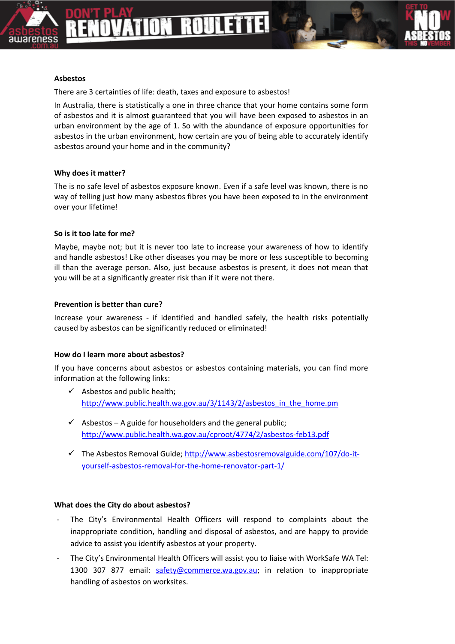

## **Asbestos**

There are 3 certainties of life: death, taxes and exposure to asbestos!

In Australia, there is statistically a one in three chance that your home contains some form of asbestos and it is almost guaranteed that you will have been exposed to asbestos in an urban environment by the age of 1. So with the abundance of exposure opportunities for asbestos in the urban environment, how certain are you of being able to accurately identify asbestos around your home and in the community?

ROULER

## **Why does it matter?**

The is no safe level of asbestos exposure known. Even if a safe level was known, there is no way of telling just how many asbestos fibres you have been exposed to in the environment over your lifetime!

## **So is it too late for me?**

Maybe, maybe not; but it is never too late to increase your awareness of how to identify and handle asbestos! Like other diseases you may be more or less susceptible to becoming ill than the average person. Also, just because asbestos is present, it does not mean that you will be at a significantly greater risk than if it were not there.

## **Prevention is better than cure?**

Increase your awareness - if identified and handled safely, the health risks potentially caused by asbestos can be significantly reduced or eliminated!

# **How do I learn more about asbestos?**

If you have concerns about asbestos or asbestos containing materials, you can find more information at the following links:

- $\checkmark$  Asbestos and public health; http://www.public.health.wa.gov.au/3/1143/2/asbestos in the home.pm
- $\checkmark$  Asbestos A guide for householders and the general public; <http://www.public.health.wa.gov.au/cproot/4774/2/asbestos-feb13.pdf>
- The Asbestos Removal Guide[; http://www.asbestosremovalguide.com/107/do-it](http://www.asbestosremovalguide.com/107/do-it-yourself-asbestos-removal-for-the-home-renovator-part-1/)[yourself-asbestos-removal-for-the-home-renovator-part-1/](http://www.asbestosremovalguide.com/107/do-it-yourself-asbestos-removal-for-the-home-renovator-part-1/)

### **What does the City do about asbestos?**

- The City's Environmental Health Officers will respond to complaints about the inappropriate condition, handling and disposal of asbestos, and are happy to provide advice to assist you identify asbestos at your property.
- The City's Environmental Health Officers will assist you to liaise with WorkSafe WA Tel: 1300 307 877 email: [safety@commerce.wa.gov.au;](mailto:safety@commerce.wa.gov.au) in relation to inappropriate handling of asbestos on worksites.